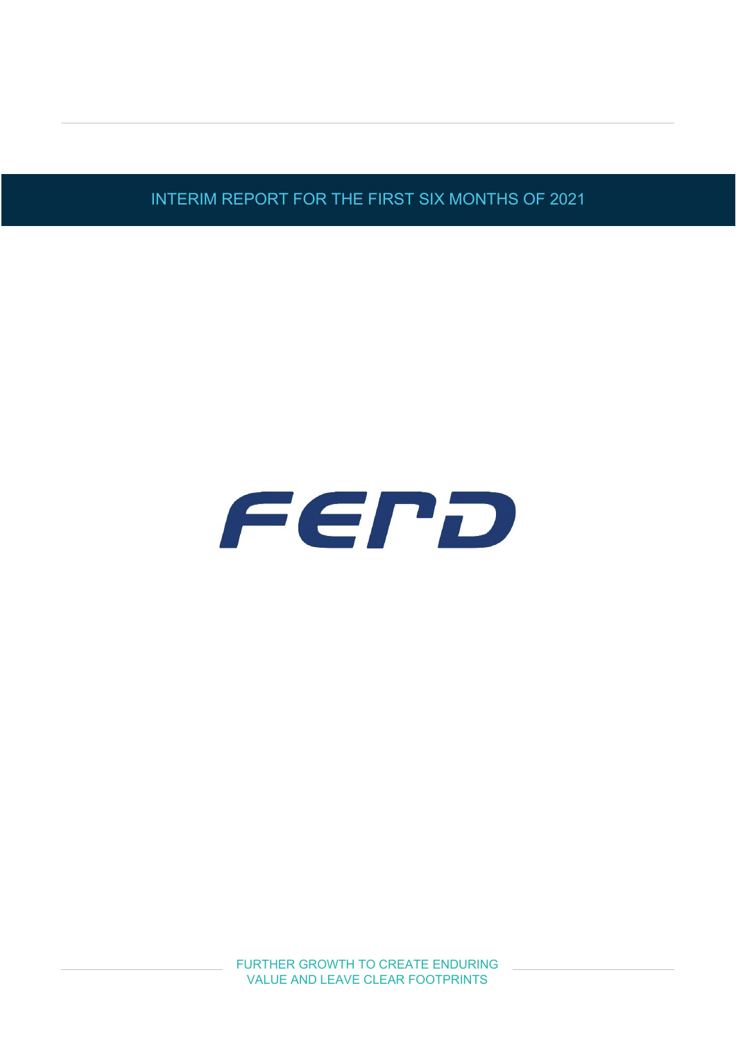INTERIM REPORT FOR THE FIRST SIX MONTHS OF 2021

# FEPD

FURTHER GROWTH TO CREATE ENDURING VALUE AND LEAVE CLEAR FOOTPRINTS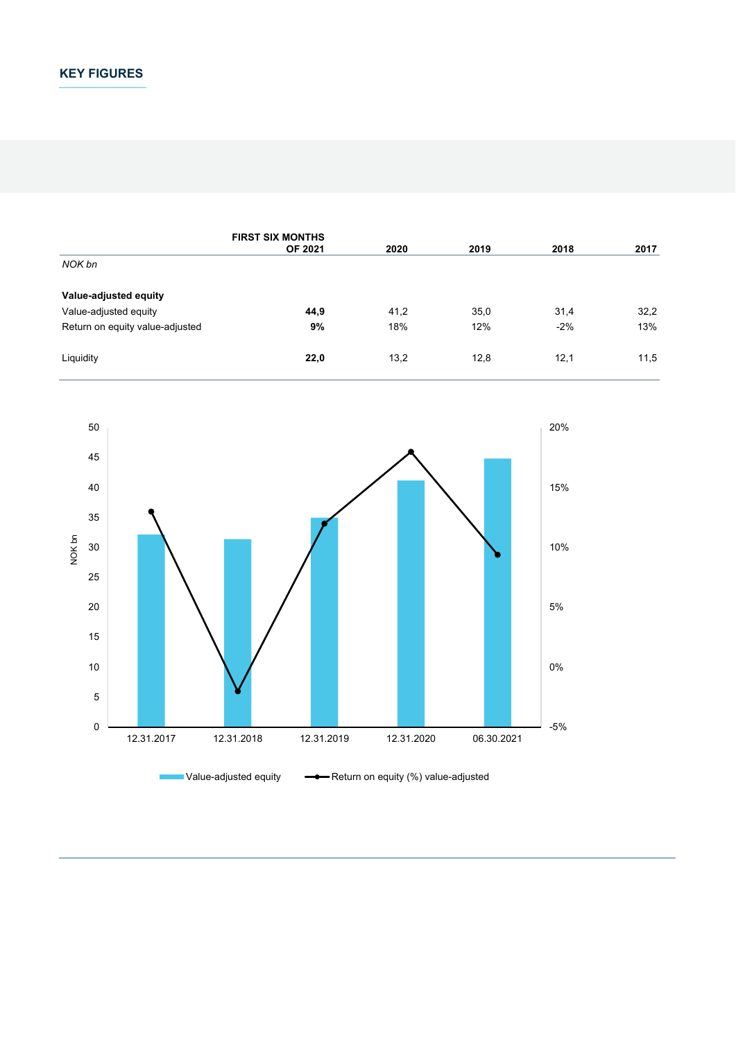# **KEY FIGURES**

|                                 | <b>FIRST SIX MONTHS</b><br><b>OF 2021</b> | 2020 | 2019 | 2018  | 2017 |
|---------------------------------|-------------------------------------------|------|------|-------|------|
| NOK bn                          |                                           |      |      |       |      |
| Value-adjusted equity           |                                           |      |      |       |      |
| Value-adjusted equity           | 44,9                                      | 41,2 | 35,0 | 31,4  | 32,2 |
| Return on equity value-adjusted | 9%                                        | 18%  | 12%  | $-2%$ | 13%  |
| Liquidity                       | 22,0                                      | 13,2 | 12,8 | 12,1  | 11,5 |

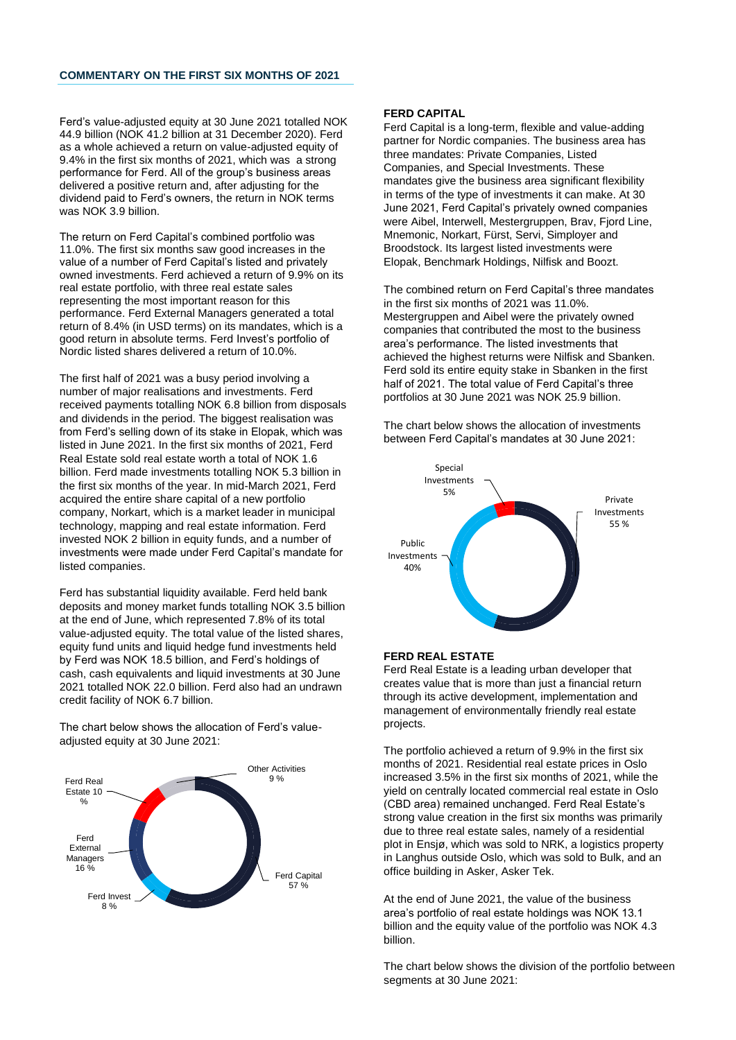Ferd's value-adjusted equity at 30 June 2021 totalled NOK 44.9 billion (NOK 41.2 billion at 31 December 2020). Ferd as a whole achieved a return on value-adjusted equity of 9.4% in the first six months of 2021, which was a strong performance for Ferd. All of the group's business areas delivered a positive return and, after adjusting for the dividend paid to Ferd's owners, the return in NOK terms was NOK 3.9 billion.

The return on Ferd Capital's combined portfolio was 11.0%. The first six months saw good increases in the value of a number of Ferd Capital's listed and privately owned investments. Ferd achieved a return of 9.9% on its real estate portfolio, with three real estate sales representing the most important reason for this performance. Ferd External Managers generated a total return of 8.4% (in USD terms) on its mandates, which is a good return in absolute terms. Ferd Invest's portfolio of Nordic listed shares delivered a return of 10.0%.

The first half of 2021 was a busy period involving a number of major realisations and investments. Ferd received payments totalling NOK 6.8 billion from disposals and dividends in the period. The biggest realisation was from Ferd's selling down of its stake in Elopak, which was listed in June 2021. In the first six months of 2021, Ferd Real Estate sold real estate worth a total of NOK 1.6 billion. Ferd made investments totalling NOK 5.3 billion in the first six months of the year. In mid-March 2021, Ferd acquired the entire share capital of a new portfolio company, Norkart, which is a market leader in municipal technology, mapping and real estate information. Ferd invested NOK 2 billion in equity funds, and a number of investments were made under Ferd Capital's mandate for listed companies.

Ferd has substantial liquidity available. Ferd held bank deposits and money market funds totalling NOK 3.5 billion at the end of June, which represented 7.8% of its total value-adjusted equity. The total value of the listed shares, equity fund units and liquid hedge fund investments held by Ferd was NOK 18.5 billion, and Ferd's holdings of cash, cash equivalents and liquid investments at 30 June 2021 totalled NOK 22.0 billion. Ferd also had an undrawn credit facility of NOK 6.7 billion.

The chart below shows the allocation of Ferd's valueadjusted equity at 30 June 2021:



### **FERD CAPITAL**

Ferd Capital is a long-term, flexible and value-adding partner for Nordic companies. The business area has three mandates: Private Companies, Listed Companies, and Special Investments. These mandates give the business area significant flexibility in terms of the type of investments it can make. At 30 June 2021, Ferd Capital's privately owned companies were Aibel, Interwell, Mestergruppen, Brav, Fjord Line, Mnemonic, Norkart, Fürst, Servi, Simployer and Broodstock. Its largest listed investments were Elopak, Benchmark Holdings, Nilfisk and Boozt.

The combined return on Ferd Capital's three mandates in the first six months of 2021 was 11.0%. Mestergruppen and Aibel were the privately owned companies that contributed the most to the business area's performance. The listed investments that achieved the highest returns were Nilfisk and Sbanken. Ferd sold its entire equity stake in Sbanken in the first half of 2021. The total value of Ferd Capital's three portfolios at 30 June 2021 was NOK 25.9 billion.

The chart below shows the allocation of investments between Ferd Capital's mandates at 30 June 2021:



# **FERD REAL ESTATE**

Ferd Real Estate is a leading urban developer that creates value that is more than just a financial return through its active development, implementation and management of environmentally friendly real estate projects.

The portfolio achieved a return of 9.9% in the first six months of 2021. Residential real estate prices in Oslo increased 3.5% in the first six months of 2021, while the yield on centrally located commercial real estate in Oslo (CBD area) remained unchanged. Ferd Real Estate's strong value creation in the first six months was primarily due to three real estate sales, namely of a residential plot in Ensjø, which was sold to NRK, a logistics property in Langhus outside Oslo, which was sold to Bulk, and an office building in Asker, Asker Tek.

At the end of June 2021, the value of the business area's portfolio of real estate holdings was NOK 13.1 billion and the equity value of the portfolio was NOK 4.3 billion.

The chart below shows the division of the portfolio between segments at 30 June 2021: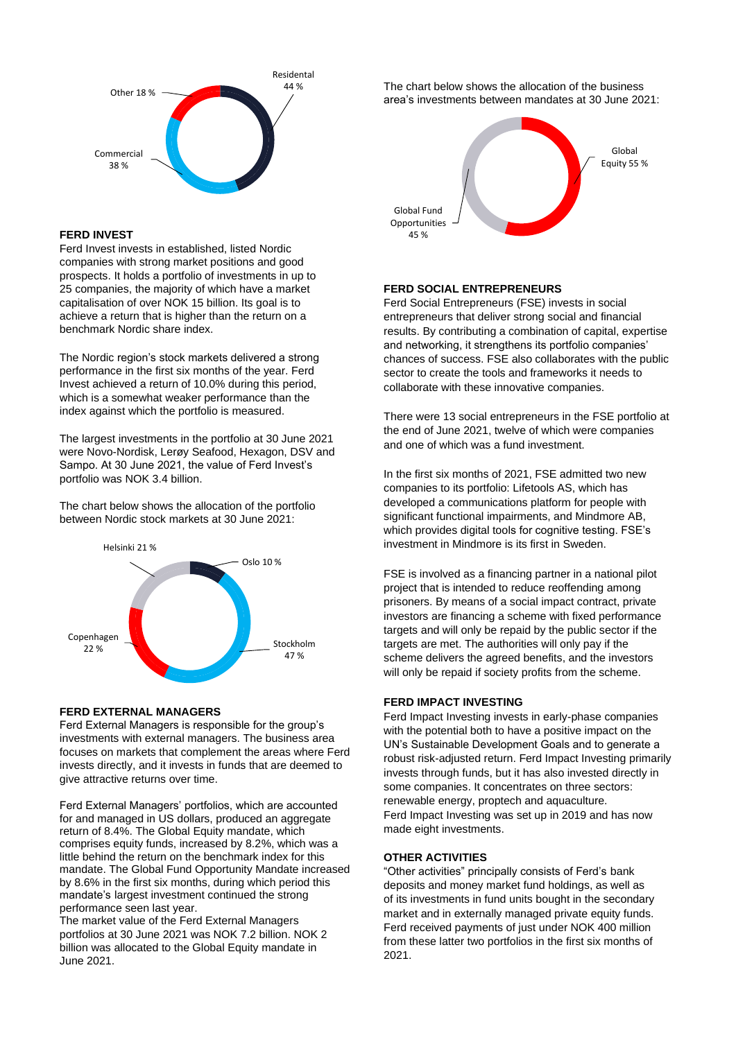

# **FERD INVEST**

Ferd Invest invests in established, listed Nordic companies with strong market positions and good prospects. It holds a portfolio of investments in up to 25 companies, the majority of which have a market capitalisation of over NOK 15 billion. Its goal is to achieve a return that is higher than the return on a benchmark Nordic share index.

The Nordic region's stock markets delivered a strong performance in the first six months of the year. Ferd Invest achieved a return of 10.0% during this period, which is a somewhat weaker performance than the index against which the portfolio is measured.

The largest investments in the portfolio at 30 June 2021 were Novo-Nordisk, Lerøy Seafood, Hexagon, DSV and Sampo. At 30 June 2021, the value of Ferd Invest's portfolio was NOK 3.4 billion.

The chart below shows the allocation of the portfolio between Nordic stock markets at 30 June 2021:



# **FERD EXTERNAL MANAGERS**

Ferd External Managers is responsible for the group's investments with external managers. The business area focuses on markets that complement the areas where Ferd invests directly, and it invests in funds that are deemed to give attractive returns over time.

Ferd External Managers' portfolios, which are accounted for and managed in US dollars, produced an aggregate return of 8.4%. The Global Equity mandate, which comprises equity funds, increased by 8.2%, which was a little behind the return on the benchmark index for this mandate. The Global Fund Opportunity Mandate increased by 8.6% in the first six months, during which period this mandate's largest investment continued the strong performance seen last year.

The market value of the Ferd External Managers portfolios at 30 June 2021 was NOK 7.2 billion. NOK 2 billion was allocated to the Global Equity mandate in June 2021.

The chart below shows the allocation of the business area's investments between mandates at 30 June 2021:



### **FERD SOCIAL ENTREPRENEURS**

Ferd Social Entrepreneurs (FSE) invests in social entrepreneurs that deliver strong social and financial results. By contributing a combination of capital, expertise and networking, it strengthens its portfolio companies' chances of success. FSE also collaborates with the public sector to create the tools and frameworks it needs to collaborate with these innovative companies.

There were 13 social entrepreneurs in the FSE portfolio at the end of June 2021, twelve of which were companies and one of which was a fund investment.

In the first six months of 2021, FSE admitted two new companies to its portfolio: Lifetools AS, which has developed a communications platform for people with significant functional impairments, and Mindmore AB, which provides digital tools for cognitive testing. FSE's investment in Mindmore is its first in Sweden.

FSE is involved as a financing partner in a national pilot project that is intended to reduce reoffending among prisoners. By means of a social impact contract, private investors are financing a scheme with fixed performance targets and will only be repaid by the public sector if the targets are met. The authorities will only pay if the scheme delivers the agreed benefits, and the investors will only be repaid if society profits from the scheme.

### **FERD IMPACT INVESTING**

Ferd Impact Investing invests in early-phase companies with the potential both to have a positive impact on the UN's Sustainable Development Goals and to generate a robust risk-adjusted return. Ferd Impact Investing primarily invests through funds, but it has also invested directly in some companies. It concentrates on three sectors: renewable energy, proptech and aquaculture. Ferd Impact Investing was set up in 2019 and has now made eight investments.

### **OTHER ACTIVITIES**

"Other activities" principally consists of Ferd's bank deposits and money market fund holdings, as well as of its investments in fund units bought in the secondary market and in externally managed private equity funds. Ferd received payments of just under NOK 400 million from these latter two portfolios in the first six months of 2021.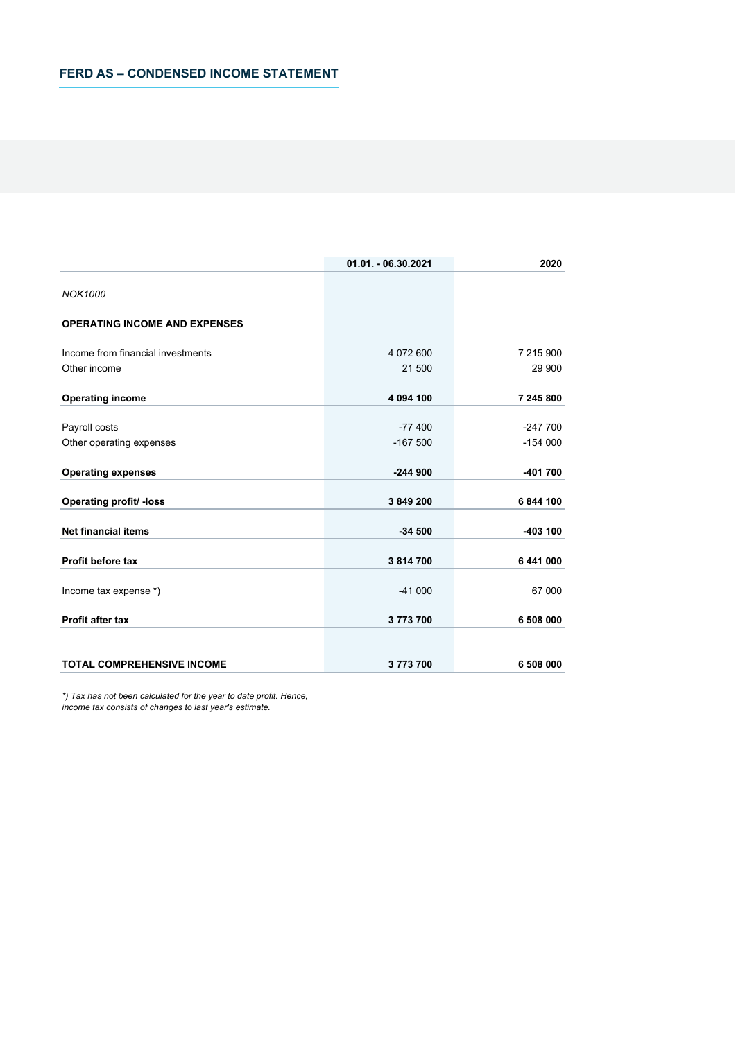|                                      | 01.01. - 06.30.2021 | 2020      |
|--------------------------------------|---------------------|-----------|
| <b>NOK1000</b>                       |                     |           |
| <b>OPERATING INCOME AND EXPENSES</b> |                     |           |
| Income from financial investments    | 4 072 600           | 7 215 900 |
| Other income                         | 21 500              | 29 900    |
| <b>Operating income</b>              | 4 094 100           | 7 245 800 |
| Payroll costs                        | $-77400$            | $-247700$ |
| Other operating expenses             | $-167500$           | $-154000$ |
| <b>Operating expenses</b>            | $-244900$           | -401 700  |
| Operating profit/ -loss              | 3 849 200           | 6844100   |
| <b>Net financial items</b>           | $-34500$            | -403 100  |
| Profit before tax                    | 3814700             | 6 441 000 |
| Income tax expense *)                | $-41000$            | 67 000    |
| <b>Profit after tax</b>              | 3773700             | 6 508 000 |
| <b>TOTAL COMPREHENSIVE INCOME</b>    | 3773700             | 6 508 000 |

*\*) Tax has not been calculated for the year to date profit. Hence,* 

*income tax consists of changes to last year's estimate.*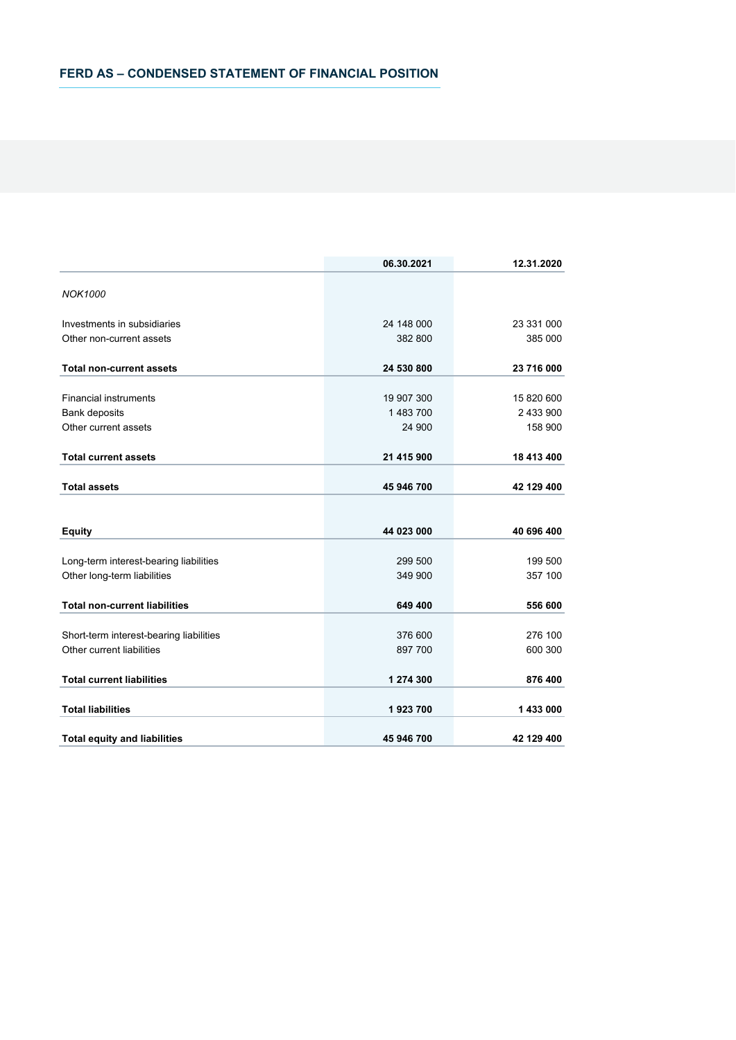|                                         | 06.30.2021 | 12.31.2020 |
|-----------------------------------------|------------|------------|
| <b>NOK1000</b>                          |            |            |
| Investments in subsidiaries             | 24 148 000 | 23 331 000 |
| Other non-current assets                | 382 800    | 385 000    |
| <b>Total non-current assets</b>         | 24 530 800 | 23 716 000 |
| <b>Financial instruments</b>            | 19 907 300 | 15 820 600 |
| <b>Bank deposits</b>                    | 1 483 700  | 2 433 900  |
| Other current assets                    | 24 900     | 158 900    |
| <b>Total current assets</b>             | 21 415 900 | 18 413 400 |
| <b>Total assets</b>                     | 45 946 700 | 42 129 400 |
|                                         |            |            |
| <b>Equity</b>                           | 44 023 000 | 40 696 400 |
| Long-term interest-bearing liabilities  | 299 500    | 199 500    |
| Other long-term liabilities             | 349 900    | 357 100    |
| <b>Total non-current liabilities</b>    | 649 400    | 556 600    |
| Short-term interest-bearing liabilities | 376 600    | 276 100    |
| Other current liabilities               | 897 700    | 600 300    |
| <b>Total current liabilities</b>        | 1 274 300  | 876 400    |
| <b>Total liabilities</b>                | 1923700    | 1 433 000  |
| <b>Total equity and liabilities</b>     | 45 946 700 | 42 129 400 |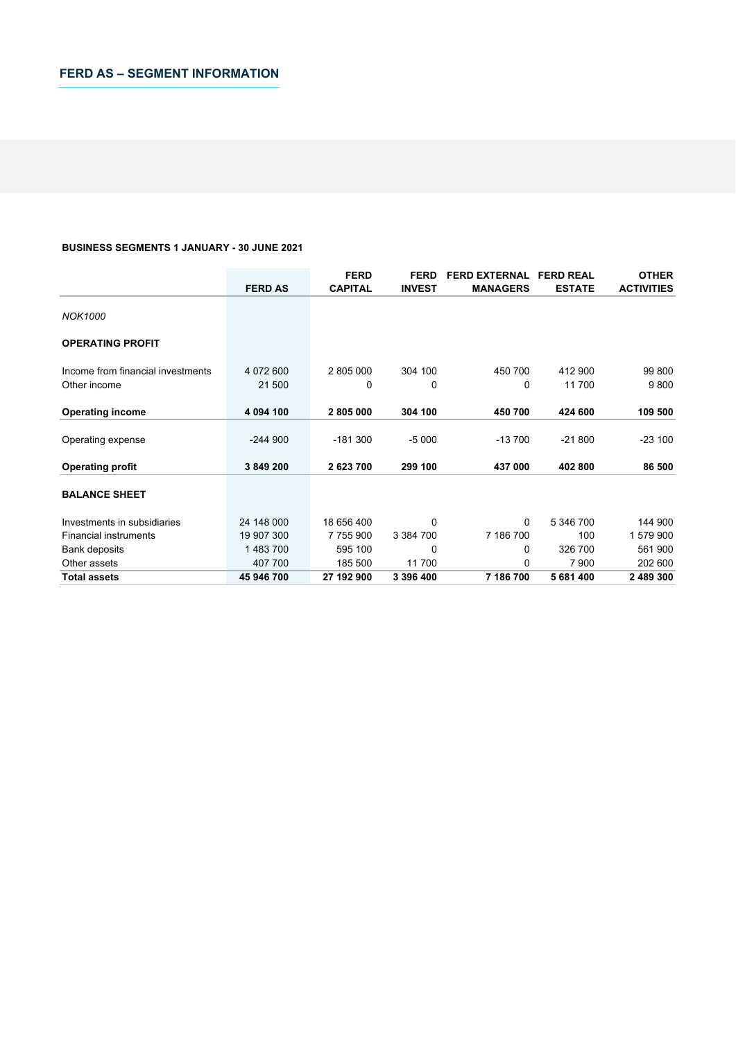# **BUSINESS SEGMENTS 1 JANUARY - 30 JUNE 2021**

|                                   |                | <b>FERD</b>    | <b>FERD</b>   | <b>FERD EXTERNAL</b> | <b>FERD REAL</b> | <b>OTHER</b>      |
|-----------------------------------|----------------|----------------|---------------|----------------------|------------------|-------------------|
|                                   | <b>FERD AS</b> | <b>CAPITAL</b> | <b>INVEST</b> | <b>MANAGERS</b>      | <b>ESTATE</b>    | <b>ACTIVITIES</b> |
| <b>NOK1000</b>                    |                |                |               |                      |                  |                   |
| <b>OPERATING PROFIT</b>           |                |                |               |                      |                  |                   |
| Income from financial investments | 4 072 600      | 2 805 000      | 304 100       | 450 700              | 412 900          | 99 800            |
| Other income                      | 21 500         | 0              | 0             | 0                    | 11 700           | 9800              |
| <b>Operating income</b>           | 4 094 100      | 2805000        | 304 100       | 450 700              | 424 600          | 109 500           |
| Operating expense                 | $-244900$      | $-181300$      | $-5000$       | $-13700$             | $-21800$         | $-23100$          |
| <b>Operating profit</b>           | 3 849 200      | 2 623 700      | 299 100       | 437 000              | 402 800          | 86 500            |
| <b>BALANCE SHEET</b>              |                |                |               |                      |                  |                   |
| Investments in subsidiaries       | 24 148 000     | 18 656 400     | 0             | 0                    | 5 346 700        | 144 900           |
| <b>Financial instruments</b>      | 19 907 300     | 7 755 900      | 3 3 8 4 7 0 0 | 7 186 700            | 100              | 1579900           |
| Bank deposits                     | 1483700        | 595 100        | 0             | 0                    | 326 700          | 561 900           |
| Other assets                      | 407 700        | 185 500        | 11700         | 0                    | 7 9 0 0          | 202 600           |
| <b>Total assets</b>               | 45 946 700     | 27 192 900     | 3 396 400     | 7 186 700            | 5 681 400        | 2 489 300         |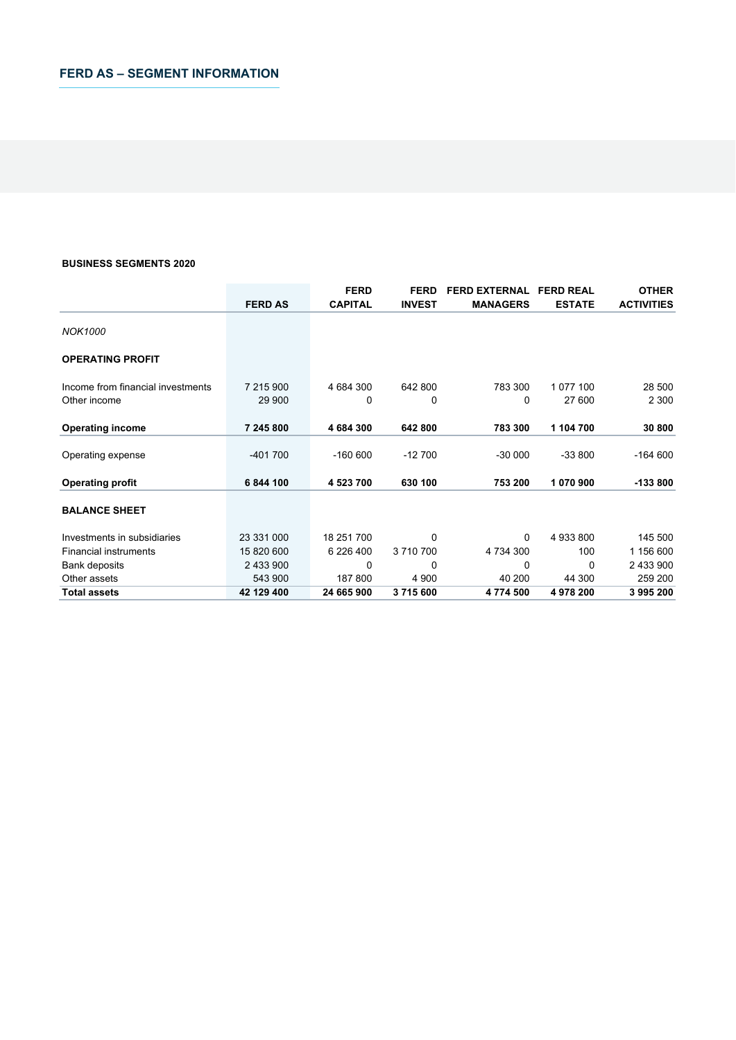### **BUSINESS SEGMENTS 2020**

|                                   |                | <b>FERD</b>    | <b>FERD</b>   | <b>FERD EXTERNAL</b> | <b>FERD REAL</b> | <b>OTHER</b>      |
|-----------------------------------|----------------|----------------|---------------|----------------------|------------------|-------------------|
|                                   | <b>FERD AS</b> | <b>CAPITAL</b> | <b>INVEST</b> | <b>MANAGERS</b>      | <b>ESTATE</b>    | <b>ACTIVITIES</b> |
| <b>NOK1000</b>                    |                |                |               |                      |                  |                   |
| <b>OPERATING PROFIT</b>           |                |                |               |                      |                  |                   |
| Income from financial investments | 7 215 900      | 4 684 300      | 642 800       | 783 300              | 1 077 100        | 28 500            |
| Other income                      | 29 900         | 0              | 0             | 0                    | 27 600           | 2 3 0 0           |
| <b>Operating income</b>           | 7 245 800      | 4 684 300      | 642 800       | 783 300              | 1 104 700        | 30 800            |
| Operating expense                 | $-401700$      | $-160600$      | $-12700$      | $-30000$             | $-33800$         | $-164600$         |
| <b>Operating profit</b>           | 6 844 100      | 4 523 700      | 630 100       | 753 200              | 1 070 900        | $-133800$         |
| <b>BALANCE SHEET</b>              |                |                |               |                      |                  |                   |
| Investments in subsidiaries       | 23 331 000     | 18 251 700     | $\Omega$      | $\Omega$             | 4 933 800        | 145 500           |
| <b>Financial instruments</b>      | 15 820 600     | 6 226 400      | 3710700       | 4 734 300            | 100              | 1 156 600         |
| Bank deposits                     | 2 433 900      | 0              | 0             | 0                    | 0                | 2 433 900         |
| Other assets                      | 543 900        | 187 800        | 4 9 0 0       | 40 200               | 44 300           | 259 200           |
| <b>Total assets</b>               | 42 129 400     | 24 665 900     | 3715600       | 4774500              | 4978200          | 3995200           |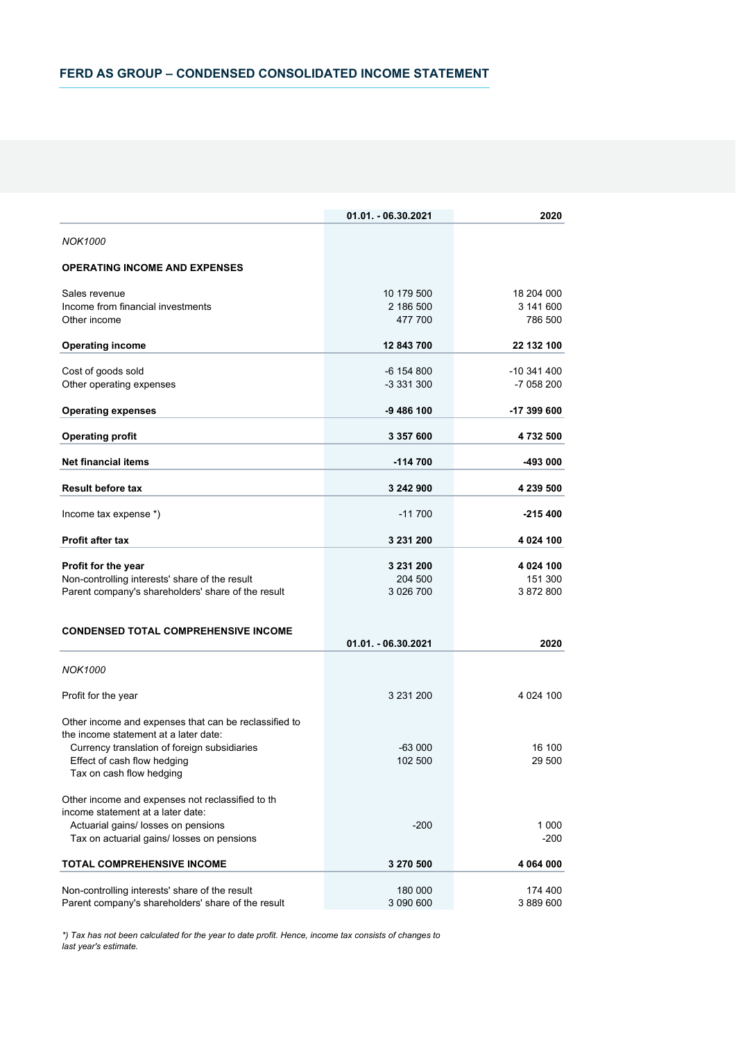|                                                                                   | 01.01. - 06.30.2021 | 2020            |
|-----------------------------------------------------------------------------------|---------------------|-----------------|
| NOK1000                                                                           |                     |                 |
| <b>OPERATING INCOME AND EXPENSES</b>                                              |                     |                 |
| Sales revenue                                                                     | 10 179 500          | 18 204 000      |
| Income from financial investments                                                 | 2 186 500           | 3 141 600       |
| Other income                                                                      | 477 700             | 786 500         |
| <b>Operating income</b>                                                           | 12 843 700          | 22 132 100      |
| Cost of goods sold                                                                | -6 154 800          | -10 341 400     |
| Other operating expenses                                                          | -3 331 300          | -7 058 200      |
| <b>Operating expenses</b>                                                         | -9 486 100          | -17 399 600     |
| <b>Operating profit</b>                                                           | 3 357 600           | 4 732 500       |
| <b>Net financial items</b>                                                        | $-114700$           | -493 000        |
| <b>Result before tax</b>                                                          | 3 242 900           | 4 239 500       |
| Income tax expense *)                                                             | $-11700$            | $-215400$       |
| <b>Profit after tax</b>                                                           | 3 231 200           | 4 0 24 100      |
| Profit for the year                                                               | 3 231 200           | 4 0 24 100      |
| Non-controlling interests' share of the result                                    | 204 500             | 151 300         |
| Parent company's shareholders' share of the result                                | 3 026 700           | 3872800         |
| <b>CONDENSED TOTAL COMPREHENSIVE INCOME</b>                                       |                     |                 |
|                                                                                   | 01.01. - 06.30.2021 | 2020            |
| <b>NOK1000</b>                                                                    |                     |                 |
| Profit for the year                                                               | 3 231 200           | 4 0 24 100      |
| Other income and expenses that can be reclassified to                             |                     |                 |
| the income statement at a later date:                                             |                     |                 |
| Currency translation of foreign subsidiaries                                      | $-63000$            | 16 100          |
| Effect of cash flow hedging                                                       | 102 500             | 29 500          |
| Tax on cash flow hedging                                                          |                     |                 |
| Other income and expenses not reclassified to th                                  |                     |                 |
| income statement at a later date:                                                 |                     |                 |
| Actuarial gains/ losses on pensions<br>Tax on actuarial gains/ losses on pensions | $-200$              | 1 0 0 0<br>-200 |
| <b>TOTAL COMPREHENSIVE INCOME</b>                                                 | 3 270 500           | 4 064 000       |
|                                                                                   |                     |                 |
| Non-controlling interests' share of the result                                    | 180 000             | 174 400         |
| Parent company's shareholders' share of the result                                | 3 090 600           | 3889600         |

*\*) Tax has not been calculated for the year to date profit. Hence, income tax consists of changes to last year's estimate.*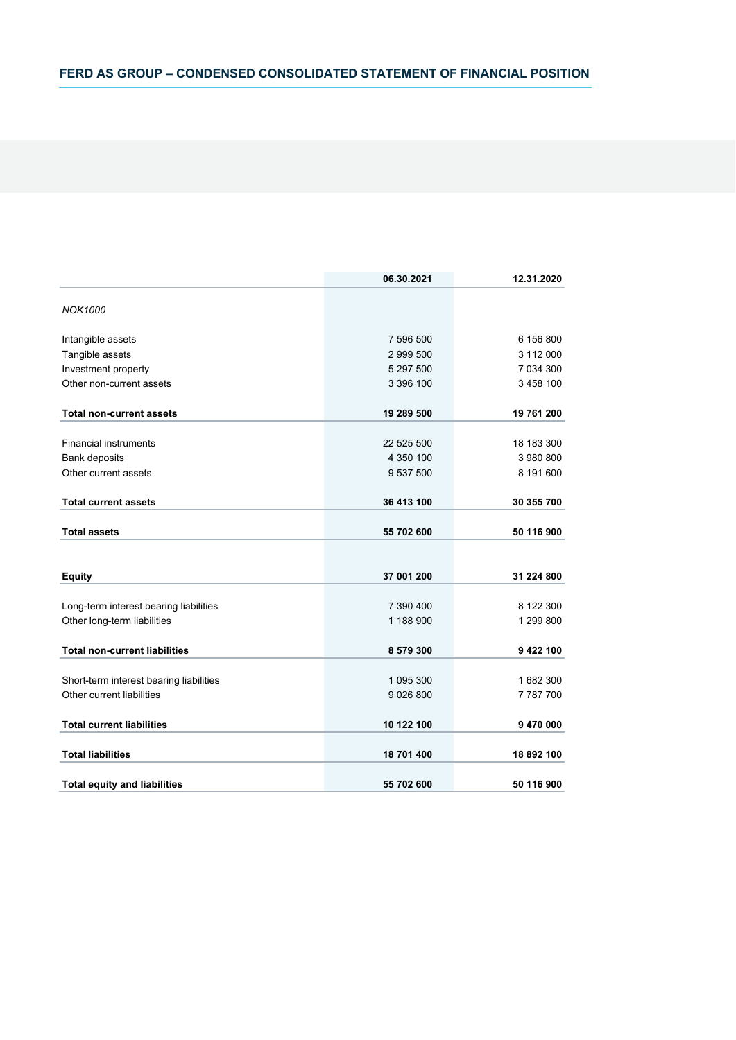|                                         | 06.30.2021  | 12.31.2020 |
|-----------------------------------------|-------------|------------|
| <b>NOK1000</b>                          |             |            |
| Intangible assets                       | 7 596 500   | 6 156 800  |
| Tangible assets                         | 2 999 500   | 3 112 000  |
| Investment property                     | 5 297 500   | 7 034 300  |
| Other non-current assets                | 3 396 100   | 3 458 100  |
| <b>Total non-current assets</b>         | 19 289 500  | 19 761 200 |
| <b>Financial instruments</b>            | 22 525 500  | 18 183 300 |
| <b>Bank deposits</b>                    | 4 350 100   | 3 980 800  |
| Other current assets                    | 9 537 500   | 8 191 600  |
| <b>Total current assets</b>             | 36 413 100  | 30 355 700 |
| <b>Total assets</b>                     | 55 702 600  | 50 116 900 |
|                                         |             |            |
| <b>Equity</b>                           | 37 001 200  | 31 224 800 |
| Long-term interest bearing liabilities  | 7 390 400   | 8 122 300  |
| Other long-term liabilities             | 1 188 900   | 1 299 800  |
| <b>Total non-current liabilities</b>    | 8 579 300   | 9 422 100  |
| Short-term interest bearing liabilities | 1 095 300   | 1682 300   |
| Other current liabilities               | 9 0 26 8 00 | 7787700    |
| <b>Total current liabilities</b>        | 10 122 100  | 9 470 000  |
| <b>Total liabilities</b>                | 18 701 400  | 18 892 100 |
| <b>Total equity and liabilities</b>     | 55 702 600  | 50 116 900 |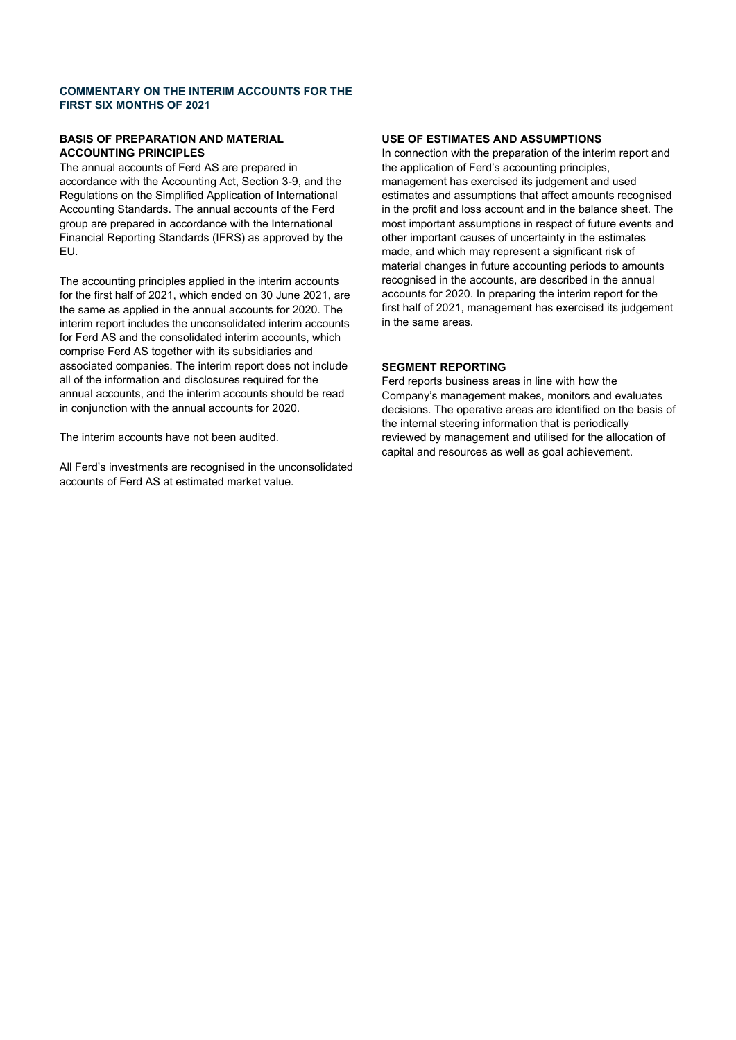# **COMMENTARY ON THE INTERIM ACCOUNTS FOR THE FIRST SIX MONTHS OF 2021**

### **BASIS OF PREPARATION AND MATERIAL ACCOUNTING PRINCIPLES**

The annual accounts of Ferd AS are prepared in accordance with the Accounting Act, Section 3-9, and the Regulations on the Simplified Application of International Accounting Standards. The annual accounts of the Ferd group are prepared in accordance with the International Financial Reporting Standards (IFRS) as approved by the EU.

The accounting principles applied in the interim accounts for the first half of 2021, which ended on 30 June 2021, are the same as applied in the annual accounts for 2020. The interim report includes the unconsolidated interim accounts for Ferd AS and the consolidated interim accounts, which comprise Ferd AS together with its subsidiaries and associated companies. The interim report does not include all of the information and disclosures required for the annual accounts, and the interim accounts should be read in conjunction with the annual accounts for 2020.

The interim accounts have not been audited.

All Ferd's investments are recognised in the unconsolidated accounts of Ferd AS at estimated market value.

# **USE OF ESTIMATES AND ASSUMPTIONS**

In connection with the preparation of the interim report and the application of Ferd's accounting principles, management has exercised its judgement and used estimates and assumptions that affect amounts recognised in the profit and loss account and in the balance sheet. The most important assumptions in respect of future events and other important causes of uncertainty in the estimates made, and which may represent a significant risk of material changes in future accounting periods to amounts recognised in the accounts, are described in the annual accounts for 2020. In preparing the interim report for the first half of 2021, management has exercised its judgement in the same areas.

# **SEGMENT REPORTING**

Ferd reports business areas in line with how the Company's management makes, monitors and evaluates decisions. The operative areas are identified on the basis of the internal steering information that is periodically reviewed by management and utilised for the allocation of capital and resources as well as goal achievement.